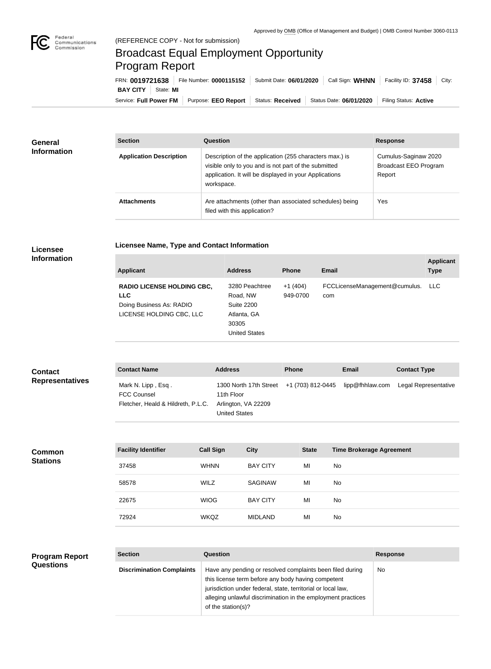

## Broadcast Equal Employment Opportunity Program Report

**Licensee Name, Type and Contact Information**

| FRN: 0019721638              | File Number: 0000115152 | Submit Date: 06/01/2020 | Call Sign: <b>WHNN</b>  | Facility ID: 37458<br>City: |
|------------------------------|-------------------------|-------------------------|-------------------------|-----------------------------|
| <b>BAY CITY</b><br>State: MI |                         |                         |                         |                             |
| Service: Full Power FM       | Purpose: EEO Report     | <b>Status: Received</b> | Status Date: 06/01/2020 | Filing Status: Active       |

| <b>General</b><br><b>Information</b> | <b>Section</b>                 | Question                                                                                                                                                                                | <b>Response</b>                                                |
|--------------------------------------|--------------------------------|-----------------------------------------------------------------------------------------------------------------------------------------------------------------------------------------|----------------------------------------------------------------|
|                                      | <b>Application Description</b> | Description of the application (255 characters max.) is<br>visible only to you and is not part of the submitted<br>application. It will be displayed in your Applications<br>workspace. | Cumulus-Saginaw 2020<br><b>Broadcast EEO Program</b><br>Report |
|                                      | <b>Attachments</b>             | Are attachments (other than associated schedules) being<br>filed with this application?                                                                                                 | <b>Yes</b>                                                     |

## **Licensee Information**

| <b>Applicant</b>                                                                                        | <b>Address</b>                                                                           | <b>Phone</b>          | Email                                | <b>Applicant</b><br><b>Type</b> |
|---------------------------------------------------------------------------------------------------------|------------------------------------------------------------------------------------------|-----------------------|--------------------------------------|---------------------------------|
| <b>RADIO LICENSE HOLDING CBC,</b><br><b>LLC</b><br>Doing Business As: RADIO<br>LICENSE HOLDING CBC, LLC | 3280 Peachtree<br>Road, NW<br>Suite 2200<br>Atlanta, GA<br>30305<br><b>United States</b> | $+1(404)$<br>949-0700 | FCCLicenseManagement@cumulus.<br>com | LLC.                            |

| <b>Contact</b><br><b>Representatives</b> | <b>Contact Name</b>                                                            |                  | <b>Address</b>                                                                      |                 | <b>Phone</b>      |              | <b>Email</b>                    | <b>Contact Type</b>  |
|------------------------------------------|--------------------------------------------------------------------------------|------------------|-------------------------------------------------------------------------------------|-----------------|-------------------|--------------|---------------------------------|----------------------|
|                                          | Mark N. Lipp, Esq.<br><b>FCC Counsel</b><br>Fletcher, Heald & Hildreth, P.L.C. |                  | 1300 North 17th Street<br>11th Floor<br>Arlington, VA 22209<br><b>United States</b> |                 | +1 (703) 812-0445 |              | lipp@fhhlaw.com                 | Legal Representative |
|                                          |                                                                                |                  |                                                                                     |                 |                   |              |                                 |                      |
| <b>Common</b><br><b>Stations</b>         | <b>Facility Identifier</b>                                                     | <b>Call Sign</b> |                                                                                     | <b>City</b>     |                   | <b>State</b> | <b>Time Brokerage Agreement</b> |                      |
|                                          | 37458                                                                          | <b>WHNN</b>      |                                                                                     | <b>BAY CITY</b> |                   | MI           | No                              |                      |
|                                          | 58578                                                                          | <b>WILZ</b>      |                                                                                     | <b>SAGINAW</b>  |                   | MI           | No                              |                      |
|                                          | 22675                                                                          | <b>WIOG</b>      |                                                                                     | <b>BAY CITY</b> |                   | MI           | No                              |                      |
|                                          | 72924                                                                          | <b>WKQZ</b>      |                                                                                     | <b>MIDLAND</b>  |                   | MI           | No                              |                      |
|                                          |                                                                                |                  |                                                                                     |                 |                   |              |                                 |                      |

| <b>Program Report</b><br><b>Questions</b> | <b>Section</b>                   | <b>Question</b>                                                                                                                                                                 | <b>Response</b> |
|-------------------------------------------|----------------------------------|---------------------------------------------------------------------------------------------------------------------------------------------------------------------------------|-----------------|
|                                           | <b>Discrimination Complaints</b> | Have any pending or resolved complaints been filed during<br>this license term before any body having competent<br>jurisdiction under federal, state, territorial or local law, | <b>No</b>       |
|                                           |                                  | alleging unlawful discrimination in the employment practices<br>of the station(s)?                                                                                              |                 |